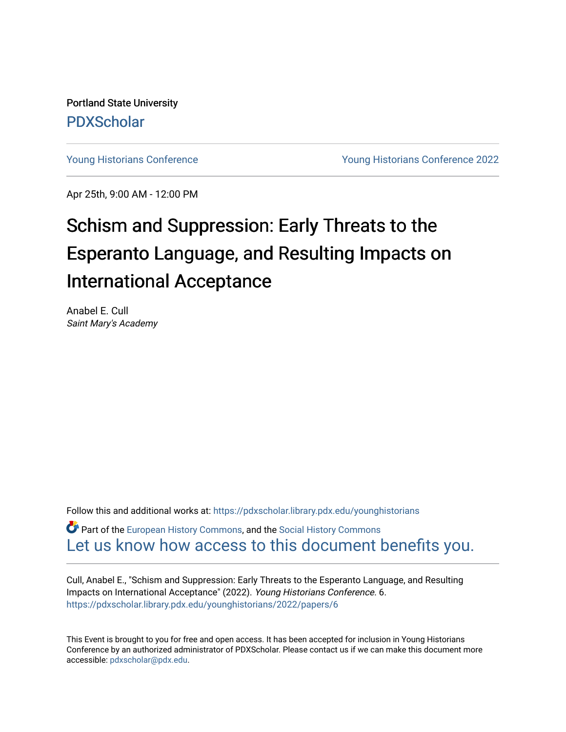Portland State University [PDXScholar](https://pdxscholar.library.pdx.edu/)

[Young Historians Conference](https://pdxscholar.library.pdx.edu/younghistorians) [Young Historians Conference 2022](https://pdxscholar.library.pdx.edu/younghistorians/2022) 

Apr 25th, 9:00 AM - 12:00 PM

## Schism and Suppression: Early Threats to the Esperanto Language, and Resulting Impacts on International Acceptance

Anabel E. Cull Saint Mary's Academy

Follow this and additional works at: [https://pdxscholar.library.pdx.edu/younghistorians](https://pdxscholar.library.pdx.edu/younghistorians?utm_source=pdxscholar.library.pdx.edu%2Fyounghistorians%2F2022%2Fpapers%2F6&utm_medium=PDF&utm_campaign=PDFCoverPages)

**C** Part of the [European History Commons](http://network.bepress.com/hgg/discipline/492?utm_source=pdxscholar.library.pdx.edu%2Fyounghistorians%2F2022%2Fpapers%2F6&utm_medium=PDF&utm_campaign=PDFCoverPages), and the [Social History Commons](http://network.bepress.com/hgg/discipline/506?utm_source=pdxscholar.library.pdx.edu%2Fyounghistorians%2F2022%2Fpapers%2F6&utm_medium=PDF&utm_campaign=PDFCoverPages) [Let us know how access to this document benefits you.](http://library.pdx.edu/services/pdxscholar-services/pdxscholar-feedback/) 

Cull, Anabel E., "Schism and Suppression: Early Threats to the Esperanto Language, and Resulting Impacts on International Acceptance" (2022). Young Historians Conference. 6. [https://pdxscholar.library.pdx.edu/younghistorians/2022/papers/6](https://pdxscholar.library.pdx.edu/younghistorians/2022/papers/6?utm_source=pdxscholar.library.pdx.edu%2Fyounghistorians%2F2022%2Fpapers%2F6&utm_medium=PDF&utm_campaign=PDFCoverPages)

This Event is brought to you for free and open access. It has been accepted for inclusion in Young Historians Conference by an authorized administrator of PDXScholar. Please contact us if we can make this document more accessible: [pdxscholar@pdx.edu.](mailto:pdxscholar@pdx.edu)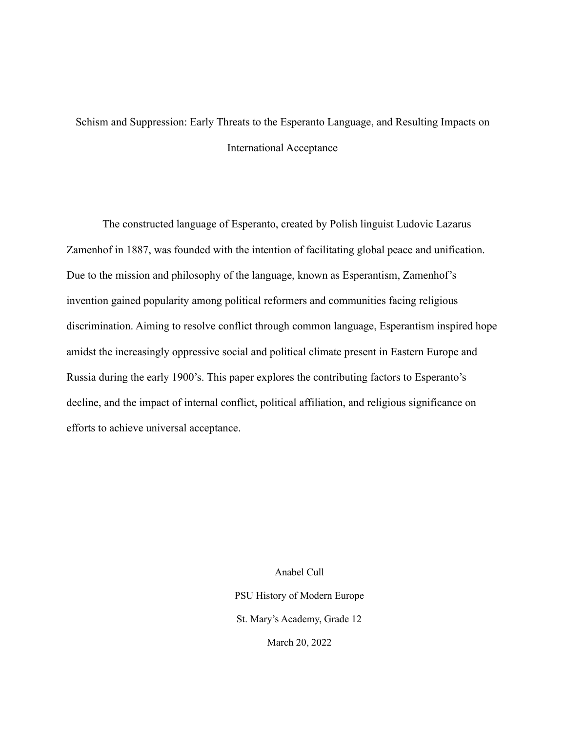## Schism and Suppression: Early Threats to the Esperanto Language, and Resulting Impacts on International Acceptance

The constructed language of Esperanto, created by Polish linguist Ludovic Lazarus Zamenhof in 1887, was founded with the intention of facilitating global peace and unification. Due to the mission and philosophy of the language, known as Esperantism, Zamenhof's invention gained popularity among political reformers and communities facing religious discrimination. Aiming to resolve conflict through common language, Esperantism inspired hope amidst the increasingly oppressive social and political climate present in Eastern Europe and Russia during the early 1900's. This paper explores the contributing factors to Esperanto's decline, and the impact of internal conflict, political affiliation, and religious significance on efforts to achieve universal acceptance.

> Anabel Cull PSU History of Modern Europe St. Mary's Academy, Grade 12 March 20, 2022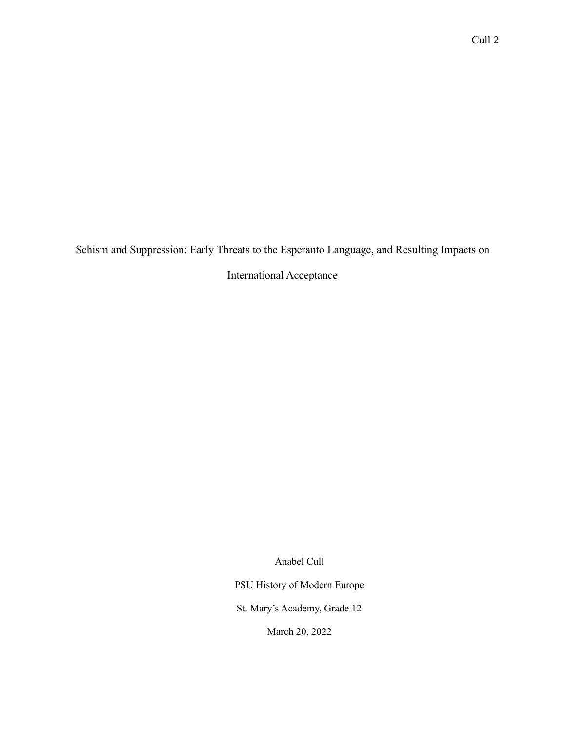Schism and Suppression: Early Threats to the Esperanto Language, and Resulting Impacts on

International Acceptance

Anabel Cull

PSU History of Modern Europe

St. Mary's Academy, Grade 12

March 20, 2022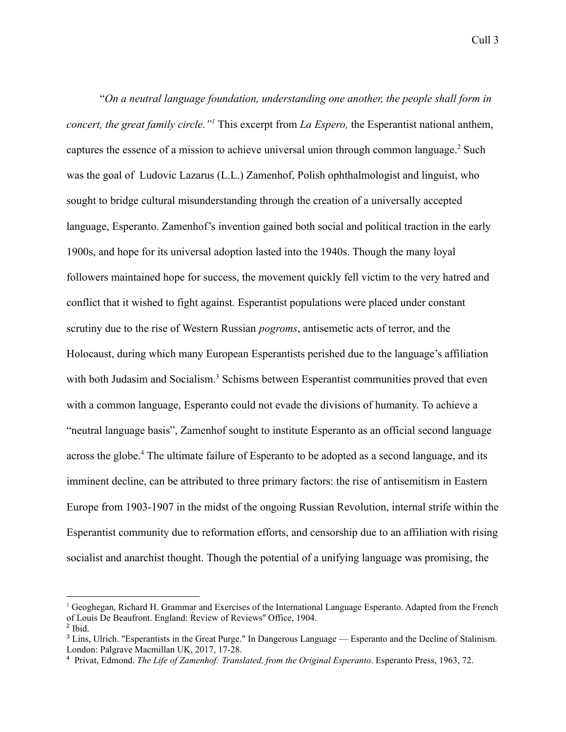Cull 3

"*On a neutral language foundation, understanding one another, the people shall form in concert, the great family circle."<sup>1</sup>* This excerpt from *La Espero,* the Esperantist national anthem, captures the essence of a mission to achieve universal union through common language.<sup>2</sup> Such was the goal of Ludovic Lazarus (L.L.) Zamenhof, Polish ophthalmologist and linguist, who sought to bridge cultural misunderstanding through the creation of a universally accepted language, Esperanto. Zamenhof's invention gained both social and political traction in the early 1900s, and hope for its universal adoption lasted into the 1940s. Though the many loyal followers maintained hope for success, the movement quickly fell victim to the very hatred and conflict that it wished to fight against. Esperantist populations were placed under constant scrutiny due to the rise of Western Russian *pogroms*, antisemetic acts of terror, and the Holocaust, during which many European Esperantists perished due to the language's affiliation with both Judasim and Socialism.<sup>3</sup> Schisms between Esperantist communities proved that even with a common language, Esperanto could not evade the divisions of humanity. To achieve a "neutral language basis", Zamenhof sought to institute Esperanto as an official second language across the globe.<sup>4</sup> The ultimate failure of Esperanto to be adopted as a second language, and its imminent decline, can be attributed to three primary factors: the rise of antisemitism in Eastern Europe from 1903-1907 in the midst of the ongoing Russian Revolution, internal strife within the Esperantist community due to reformation efforts, and censorship due to an affiliation with rising socialist and anarchist thought. Though the potential of a unifying language was promising, the

<sup>&</sup>lt;sup>2</sup> Ibid. <sup>1</sup> Geoghegan, Richard H. Grammar and Exercises of the International Language Esperanto. Adapted from the French of Louis De Beaufront. England: R̀eview of Reviews'' Office, 1904.

<sup>3</sup> Lins, Ulrich. "Esperantists in the Great Purge." In Dangerous Language — Esperanto and the Decline of Stalinism. London: Palgrave Macmillan UK, 2017, 17-28.

<sup>4</sup> Privat, Edmond. *The Life of Zamenhof: Translated, from the Original Esperanto*. Esperanto Press, 1963, 72.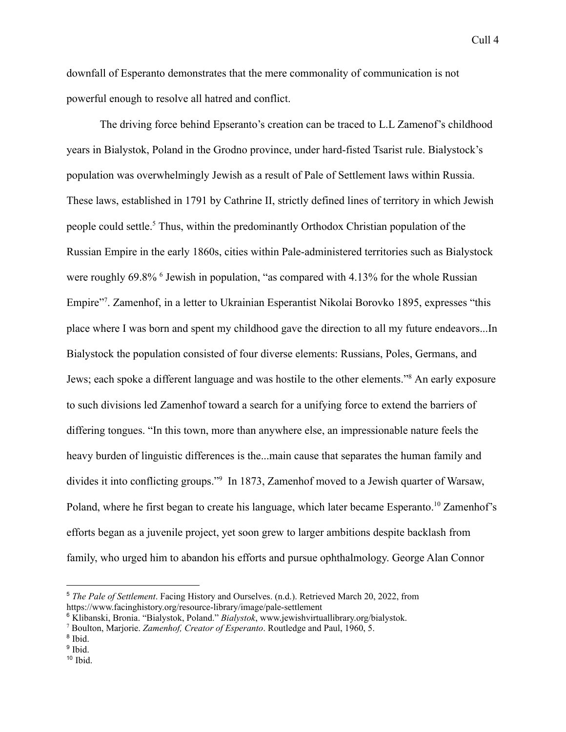downfall of Esperanto demonstrates that the mere commonality of communication is not powerful enough to resolve all hatred and conflict.

The driving force behind Epseranto's creation can be traced to L.L Zamenof's childhood years in Bialystok, Poland in the Grodno province, under hard-fisted Tsarist rule. Bialystock's population was overwhelmingly Jewish as a result of Pale of Settlement laws within Russia. These laws, established in 1791 by Cathrine II, strictly defined lines of territory in which Jewish people could settle.<sup>5</sup> Thus, within the predominantly Orthodox Christian population of the Russian Empire in the early 1860s, cities within Pale-administered territories such as Bialystock were roughly 69.8% <sup>6</sup> Jewish in population, "as compared with 4.13% for the whole Russian Empire"<sup>7</sup>. Zamenhof, in a letter to Ukrainian Esperantist Nikolai Borovko 1895, expresses "this place where I was born and spent my childhood gave the direction to all my future endeavors...In Bialystock the population consisted of four diverse elements: Russians, Poles, Germans, and Jews; each spoke a different language and was hostile to the other elements."<sup>8</sup> An early exposure to such divisions led Zamenhof toward a search for a unifying force to extend the barriers of differing tongues. "In this town, more than anywhere else, an impressionable nature feels the heavy burden of linguistic differences is the...main cause that separates the human family and divides it into conflicting groups."<sup>9</sup> In 1873, Zamenhof moved to a Jewish quarter of Warsaw, Poland, where he first began to create his language, which later became Esperanto.<sup>10</sup> Zamenhof's efforts began as a juvenile project, yet soon grew to larger ambitions despite backlash from family, who urged him to abandon his efforts and pursue ophthalmology. George Alan Connor

<sup>5</sup> *The Pale of Settlement*. Facing History and Ourselves. (n.d.). Retrieved March 20, 2022, from https://www.facinghistory.org/resource-library/image/pale-settlement

<sup>6</sup> Klibanski, Bronia. "Bialystok, Poland." *Bialystok*, www.jewishvirtuallibrary.org/bialystok.

<sup>7</sup> Boulton, Marjorie. *Zamenhof, Creator of Esperanto*. Routledge and Paul, 1960, 5.

<sup>&</sup>lt;sup>8</sup> Ibid.

<sup>&</sup>lt;sup>9</sup> Ibid.

 $10$  Ibid.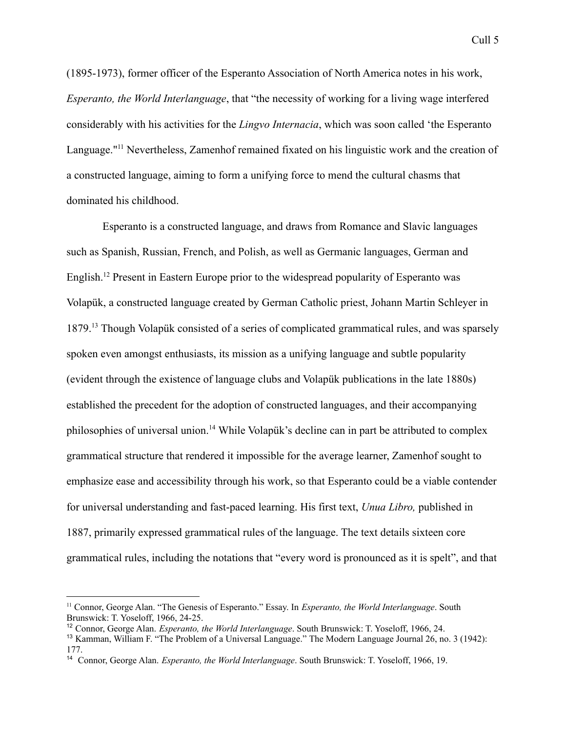(1895-1973), former officer of the Esperanto Association of North America notes in his work, *Esperanto, the World Interlanguage*, that "the necessity of working for a living wage interfered considerably with his activities for the *Lingvo Internacia*, which was soon called 'the Esperanto Language."<sup>11</sup> Nevertheless, Zamenhof remained fixated on his linguistic work and the creation of a constructed language, aiming to form a unifying force to mend the cultural chasms that dominated his childhood.

Esperanto is a constructed language, and draws from Romance and Slavic languages such as Spanish, Russian, French, and Polish, as well as Germanic languages, German and English.<sup>12</sup> Present in Eastern Europe prior to the widespread popularity of Esperanto was Volapük, a constructed language created by German Catholic priest, Johann Martin Schleyer in 1879.<sup>13</sup> Though Volapük consisted of a series of complicated grammatical rules, and was sparsely spoken even amongst enthusiasts, its mission as a unifying language and subtle popularity (evident through the existence of language clubs and Volapük publications in the late 1880s) established the precedent for the adoption of constructed languages, and their accompanying philosophies of universal union.<sup>14</sup> While Volapük's decline can in part be attributed to complex grammatical structure that rendered it impossible for the average learner, Zamenhof sought to emphasize ease and accessibility through his work, so that Esperanto could be a viable contender for universal understanding and fast-paced learning. His first text, *Unua Libro,* published in 1887, primarily expressed grammatical rules of the language. The text details sixteen core grammatical rules, including the notations that "every word is pronounced as it is spelt", and that

<sup>11</sup> Connor, George Alan. "The Genesis of Esperanto." Essay. In *Esperanto, the World Interlanguage*. South Brunswick: T. Yoseloff, 1966, 24-25.

<sup>12</sup> Connor, George Alan. *Esperanto, the World Interlanguage*. South Brunswick: T. Yoseloff, 1966, 24.

<sup>13</sup> Kamman, William F. "The Problem of a Universal Language." The Modern Language Journal 26, no. 3 (1942): 177.

<sup>14</sup> Connor, George Alan. *Esperanto, the World Interlanguage*. South Brunswick: T. Yoseloff, 1966, 19.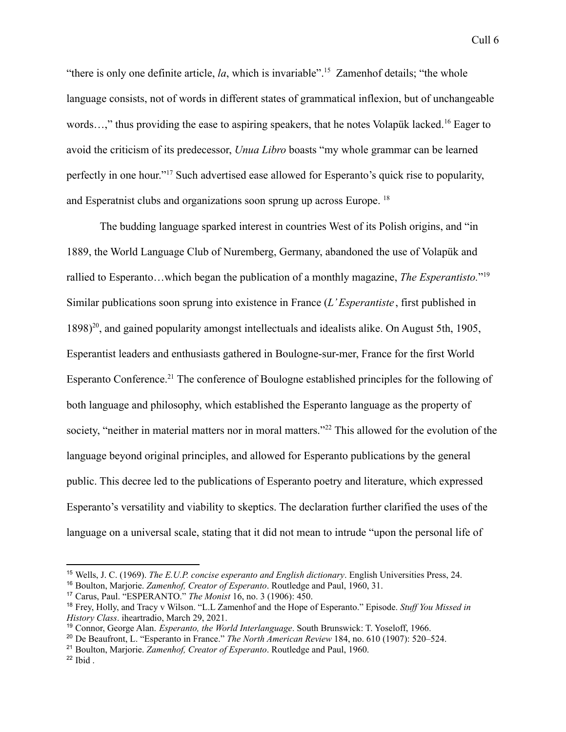"there is only one definite article, *la*, which is invariable".<sup>15</sup> Zamenhof details; "the whole language consists, not of words in different states of grammatical inflexion, but of unchangeable words…," thus providing the ease to aspiring speakers, that he notes Volapük lacked.<sup>16</sup> Eager to avoid the criticism of its predecessor, *Unua Libro* boasts "my whole grammar can be learned perfectly in one hour."<sup>17</sup> Such advertised ease allowed for Esperanto's quick rise to popularity, and Esperatnist clubs and organizations soon sprung up across Europe. <sup>18</sup>

The budding language sparked interest in countries West of its Polish origins, and "in 1889, the World Language Club of Nuremberg, Germany, abandoned the use of Volapük and rallied to Esperanto…which began the publication of a monthly magazine, *The Esperantisto.*" 19 Similar publications soon sprung into existence in France (*L' Esperantiste* , first published in 1898)<sup>20</sup>, and gained popularity amongst intellectuals and idealists alike. On August 5th, 1905, Esperantist leaders and enthusiasts gathered in Boulogne-sur-mer, France for the first World Esperanto Conference.<sup>21</sup> The conference of Boulogne established principles for the following of both language and philosophy, which established the Esperanto language as the property of society, "neither in material matters nor in moral matters."<sup>22</sup> This allowed for the evolution of the language beyond original principles, and allowed for Esperanto publications by the general public. This decree led to the publications of Esperanto poetry and literature, which expressed Esperanto's versatility and viability to skeptics. The declaration further clarified the uses of the language on a universal scale, stating that it did not mean to intrude "upon the personal life of

<sup>15</sup> Wells, J. C. (1969). *The E.U.P. concise esperanto and English dictionary*. English Universities Press, 24.

<sup>16</sup> Boulton, Marjorie. *Zamenhof, Creator of Esperanto*. Routledge and Paul, 1960, 31.

<sup>17</sup> Carus, Paul. "ESPERANTO." *The Monist* 16, no. 3 (1906): 450.

<sup>18</sup> Frey, Holly, and Tracy v Wilson. "L.L Zamenhof and the Hope of Esperanto." Episode. *Stuf You Missed in History Class*. iheartradio, March 29, 2021.

<sup>19</sup> Connor, George Alan. *Esperanto, the World Interlanguage*. South Brunswick: T. Yoseloff, 1966.

<sup>20</sup> De Beaufront, L. "Esperanto in France." *The North American Review* 184, no. 610 (1907): 520–524.

<sup>21</sup> Boulton, Marjorie. *Zamenhof, Creator of Esperanto*. Routledge and Paul, 1960.

 $22$  Ibid.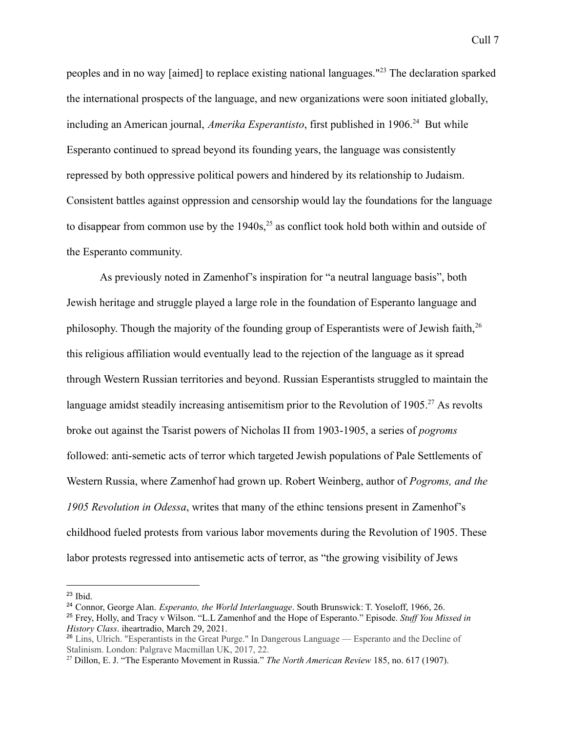peoples and in no way [aimed] to replace existing national languages."<sup>23</sup> The declaration sparked the international prospects of the language, and new organizations were soon initiated globally, including an American journal, *Amerika Esperantisto*, first published in 1906.<sup>24</sup> But while Esperanto continued to spread beyond its founding years, the language was consistently repressed by both oppressive political powers and hindered by its relationship to Judaism. Consistent battles against oppression and censorship would lay the foundations for the language to disappear from common use by the  $1940s<sup>25</sup>$  as conflict took hold both within and outside of the Esperanto community.

As previously noted in Zamenhof's inspiration for "a neutral language basis", both Jewish heritage and struggle played a large role in the foundation of Esperanto language and philosophy. Though the majority of the founding group of Esperantists were of Jewish faith,  $^{26}$ this religious affiliation would eventually lead to the rejection of the language as it spread through Western Russian territories and beyond. Russian Esperantists struggled to maintain the language amidst steadily increasing antisemitism prior to the Revolution of 1905.<sup>27</sup> As revolts broke out against the Tsarist powers of Nicholas II from 1903-1905, a series of *pogroms* followed: anti-semetic acts of terror which targeted Jewish populations of Pale Settlements of Western Russia, where Zamenhof had grown up. Robert Weinberg, author of *Pogroms, and the 1905 Revolution in Odessa*, writes that many of the ethinc tensions present in Zamenhof's childhood fueled protests from various labor movements during the Revolution of 1905. These labor protests regressed into antisemetic acts of terror, as "the growing visibility of Jews

 $23$  Ibid.

<sup>25</sup> Frey, Holly, and Tracy v Wilson. "L.L Zamenhof and the Hope of Esperanto." Episode. *Stuf You Missed in History Class*. iheartradio, March 29, 2021. <sup>24</sup> Connor, George Alan. *Esperanto, the World Interlanguage*. South Brunswick: T. Yoseloff, 1966, 26.

<sup>26</sup> Lins, Ulrich. "Esperantists in the Great Purge." In Dangerous Language — Esperanto and the Decline of Stalinism. London: Palgrave Macmillan UK, 2017, 22.

<sup>27</sup> Dillon, E. J. "The Esperanto Movement in Russia." *The North American Review* 185, no. 617 (1907).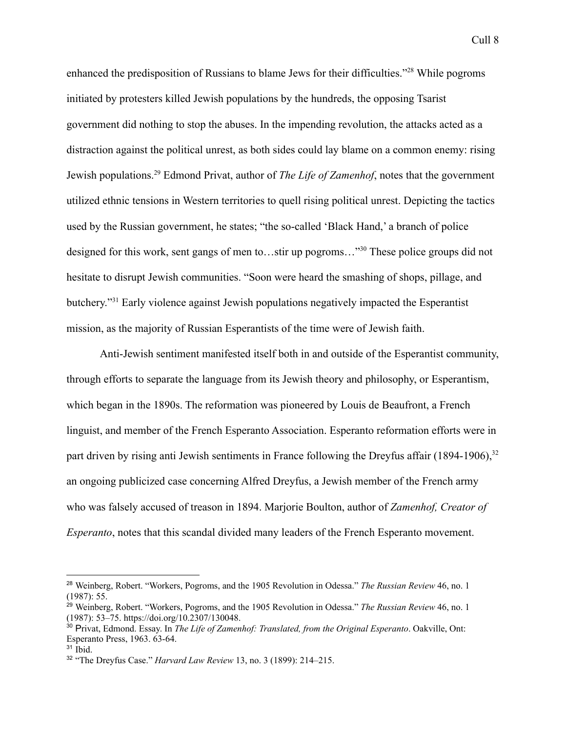enhanced the predisposition of Russians to blame Jews for their difficulties."<sup>28</sup> While pogroms initiated by protesters killed Jewish populations by the hundreds, the opposing Tsarist government did nothing to stop the abuses. In the impending revolution, the attacks acted as a distraction against the political unrest, as both sides could lay blame on a common enemy: rising Jewish populations.<sup>29</sup> Edmond Privat, author of *The Life of Zamenhof*, notes that the government utilized ethnic tensions in Western territories to quell rising political unrest. Depicting the tactics used by the Russian government, he states; "the so-called 'Black Hand,' a branch of police designed for this work, sent gangs of men to…stir up pogroms…"<sup>30</sup> These police groups did not hesitate to disrupt Jewish communities. "Soon were heard the smashing of shops, pillage, and butchery."<sup>31</sup> Early violence against Jewish populations negatively impacted the Esperantist mission, as the majority of Russian Esperantists of the time were of Jewish faith.

Anti-Jewish sentiment manifested itself both in and outside of the Esperantist community, through efforts to separate the language from its Jewish theory and philosophy, or Esperantism, which began in the 1890s. The reformation was pioneered by Louis de Beaufront, a French linguist, and member of the French Esperanto Association. Esperanto reformation efforts were in part driven by rising anti Jewish sentiments in France following the Dreyfus affair  $(1894-1906)$ ,<sup>32</sup> an ongoing publicized case concerning Alfred Dreyfus, a Jewish member of the French army who was falsely accused of treason in 1894. Marjorie Boulton, author of *Zamenhof, Creator of Esperanto*, notes that this scandal divided many leaders of the French Esperanto movement.

<sup>28</sup> Weinberg, Robert. "Workers, Pogroms, and the 1905 Revolution in Odessa." *The Russian Review* 46, no. 1 (1987): 55.

<sup>29</sup> Weinberg, Robert. "Workers, Pogroms, and the 1905 Revolution in Odessa." *The Russian Review* 46, no. 1 (1987): 53–75. https://doi.org/10.2307/130048.

<sup>30</sup> Privat, Edmond. Essay. In *The Life of Zamenhof: Translated, from the Original Esperanto*. Oakville, Ont: Esperanto Press, 1963. 63-64.

 $31$  Ibid.

<sup>32</sup> "The Dreyfus Case." *Harvard Law Review* 13, no. 3 (1899): 214–215.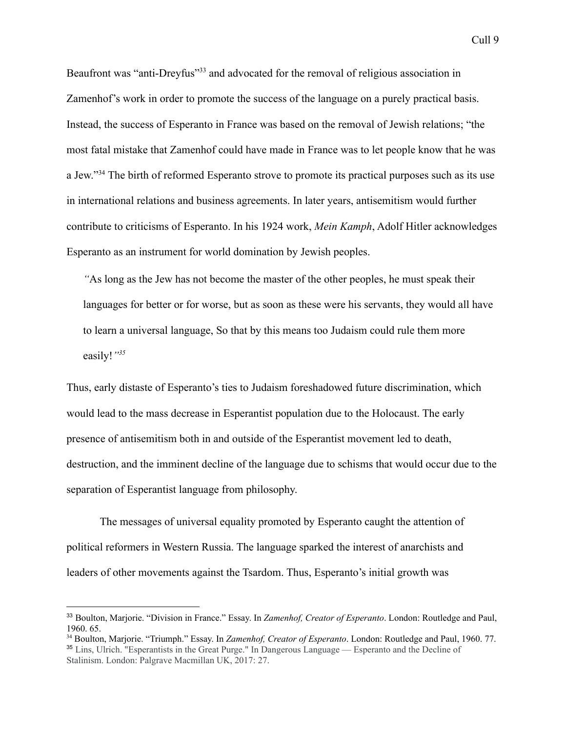Beaufront was "anti-Dreyfus"<sup>33</sup> and advocated for the removal of religious association in Zamenhof's work in order to promote the success of the language on a purely practical basis. Instead, the success of Esperanto in France was based on the removal of Jewish relations; "the most fatal mistake that Zamenhof could have made in France was to let people know that he was a Jew."<sup>34</sup> The birth of reformed Esperanto strove to promote its practical purposes such as its use in international relations and business agreements. In later years, antisemitism would further contribute to criticisms of Esperanto. In his 1924 work, *Mein Kamph*, Adolf Hitler acknowledges Esperanto as an instrument for world domination by Jewish peoples.

*"*As long as the Jew has not become the master of the other peoples, he must speak their languages for better or for worse, but as soon as these were his servants, they would all have to learn a universal language, So that by this means too Judaism could rule them more easily!*" 35*

Thus, early distaste of Esperanto's ties to Judaism foreshadowed future discrimination, which would lead to the mass decrease in Esperantist population due to the Holocaust. The early presence of antisemitism both in and outside of the Esperantist movement led to death, destruction, and the imminent decline of the language due to schisms that would occur due to the separation of Esperantist language from philosophy.

The messages of universal equality promoted by Esperanto caught the attention of political reformers in Western Russia. The language sparked the interest of anarchists and leaders of other movements against the Tsardom. Thus, Esperanto's initial growth was

<sup>33</sup> Boulton, Marjorie. "Division in France." Essay. In *Zamenhof, Creator of Esperanto*. London: Routledge and Paul, 1960. 65.

<sup>&</sup>lt;sup>35</sup> Lins, Ulrich. "Esperantists in the Great Purge." In Dangerous Language — Esperanto and the Decline of Stalinism. London: Palgrave Macmillan UK, 2017: 27. <sup>34</sup> Boulton, Marjorie. "Triumph." Essay. In *Zamenhof, Creator of Esperanto*. London: Routledge and Paul, 1960. 77.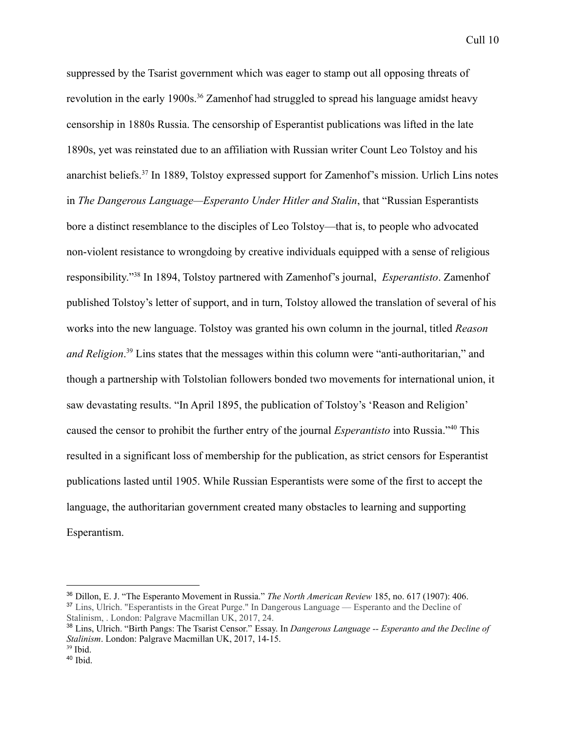suppressed by the Tsarist government which was eager to stamp out all opposing threats of revolution in the early 1900s.<sup>36</sup> Zamenhof had struggled to spread his language amidst heavy censorship in 1880s Russia. The censorship of Esperantist publications was lifted in the late 1890s, yet was reinstated due to an affiliation with Russian writer Count Leo Tolstoy and his anarchist beliefs.<sup>37</sup> In 1889, Tolstoy expressed support for Zamenhof's mission. Urlich Lins notes in *The Dangerous Language—Esperanto Under Hitler and Stalin*, that "Russian Esperantists bore a distinct resemblance to the disciples of Leo Tolstoy—that is, to people who advocated non-violent resistance to wrongdoing by creative individuals equipped with a sense of religious responsibility."<sup>38</sup> In 1894, Tolstoy partnered with Zamenhof's journal, *Esperantisto*. Zamenhof published Tolstoy's letter of support, and in turn, Tolstoy allowed the translation of several of his works into the new language. Tolstoy was granted his own column in the journal, titled *Reason and Religion*. <sup>39</sup> Lins states that the messages within this column were "anti-authoritarian," and though a partnership with Tolstolian followers bonded two movements for international union, it saw devastating results. "In April 1895, the publication of Tolstoy's 'Reason and Religion' caused the censor to prohibit the further entry of the journal *Esperantisto* into Russia."<sup>40</sup> This resulted in a significant loss of membership for the publication, as strict censors for Esperantist publications lasted until 1905. While Russian Esperantists were some of the first to accept the language, the authoritarian government created many obstacles to learning and supporting Esperantism.

<sup>37</sup> Lins, Ulrich. "Esperantists in the Great Purge." In Dangerous Language — Esperanto and the Decline of Stalinism, . London: Palgrave Macmillan UK, 2017, 24. <sup>36</sup> Dillon, E. J. "The Esperanto Movement in Russia." *The North American Review* 185, no. 617 (1907): 406.

<sup>38</sup> Lins, Ulrich. "Birth Pangs: The Tsarist Censor." Essay. In *Dangerous Language -- Esperanto and the Decline of Stalinism*. London: Palgrave Macmillan UK, 2017, 14-15.

 $39$  Ibid.

 $40$  Ibid.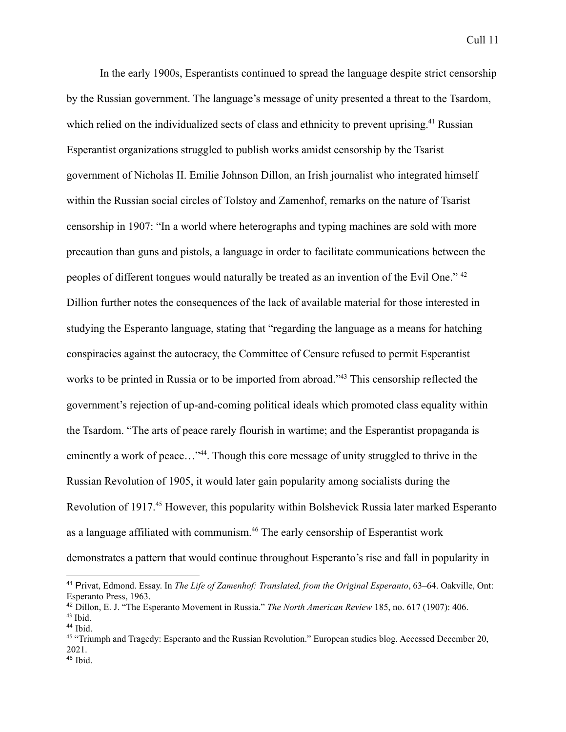In the early 1900s, Esperantists continued to spread the language despite strict censorship by the Russian government. The language's message of unity presented a threat to the Tsardom, which relied on the individualized sects of class and ethnicity to prevent uprising.<sup>41</sup> Russian Esperantist organizations struggled to publish works amidst censorship by the Tsarist government of Nicholas II. Emilie Johnson Dillon, an Irish journalist who integrated himself within the Russian social circles of Tolstoy and Zamenhof, remarks on the nature of Tsarist censorship in 1907: "In a world where heterographs and typing machines are sold with more precaution than guns and pistols, a language in order to facilitate communications between the peoples of different tongues would naturally be treated as an invention of the Evil One." <sup>42</sup> Dillion further notes the consequences of the lack of available material for those interested in studying the Esperanto language, stating that "regarding the language as a means for hatching conspiracies against the autocracy, the Committee of Censure refused to permit Esperantist works to be printed in Russia or to be imported from abroad."<sup>43</sup> This censorship reflected the government's rejection of up-and-coming political ideals which promoted class equality within the Tsardom. "The arts of peace rarely flourish in wartime; and the Esperantist propaganda is eminently a work of peace..."<sup>44</sup>. Though this core message of unity struggled to thrive in the Russian Revolution of 1905, it would later gain popularity among socialists during the Revolution of 1917.<sup>45</sup> However, this popularity within Bolshevick Russia later marked Esperanto as a language affiliated with communism.<sup>46</sup> The early censorship of Esperantist work demonstrates a pattern that would continue throughout Esperanto's rise and fall in popularity in

<sup>41</sup> Privat, Edmond. Essay. In *The Life of Zamenhof: Translated, from the Original Esperanto*, 63–64. Oakville, Ont: Esperanto Press, 1963.

<sup>43</sup> Ibid. <sup>42</sup> Dillon, E. J. "The Esperanto Movement in Russia." *The North American Review* 185, no. 617 (1907): 406.

<sup>44</sup> Ibid.

<sup>45</sup> "Triumph and Tragedy: Esperanto and the Russian Revolution." European studies blog. Accessed December 20, 2021.

<sup>46</sup> Ibid.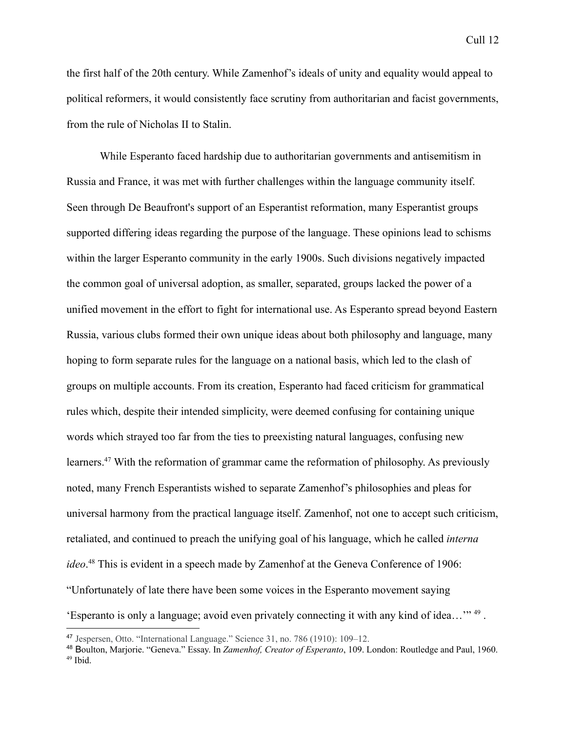the first half of the 20th century. While Zamenhof's ideals of unity and equality would appeal to political reformers, it would consistently face scrutiny from authoritarian and facist governments, from the rule of Nicholas II to Stalin.

While Esperanto faced hardship due to authoritarian governments and antisemitism in Russia and France, it was met with further challenges within the language community itself. Seen through De Beaufront's support of an Esperantist reformation, many Esperantist groups supported differing ideas regarding the purpose of the language. These opinions lead to schisms within the larger Esperanto community in the early 1900s. Such divisions negatively impacted the common goal of universal adoption, as smaller, separated, groups lacked the power of a unified movement in the effort to fight for international use. As Esperanto spread beyond Eastern Russia, various clubs formed their own unique ideas about both philosophy and language, many hoping to form separate rules for the language on a national basis, which led to the clash of groups on multiple accounts. From its creation, Esperanto had faced criticism for grammatical rules which, despite their intended simplicity, were deemed confusing for containing unique words which strayed too far from the ties to preexisting natural languages, confusing new learners.<sup>47</sup> With the reformation of grammar came the reformation of philosophy. As previously noted, many French Esperantists wished to separate Zamenhof's philosophies and pleas for universal harmony from the practical language itself. Zamenhof, not one to accept such criticism, retaliated, and continued to preach the unifying goal of his language, which he called *interna ideo*. <sup>48</sup> This is evident in a speech made by Zamenhof at the Geneva Conference of 1906: "Unfortunately of late there have been some voices in the Esperanto movement saying 'Esperanto is only a language; avoid even privately connecting it with any kind of idea…'" <sup>49</sup> .

<sup>47</sup> Jespersen, Otto. "International Language." Science 31, no. 786 (1910): 109–12.

 $49$  Ibid. <sup>48</sup> Boulton, Marjorie. "Geneva." Essay. In *Zamenhof, Creator of Esperanto*, 109. London: Routledge and Paul, 1960.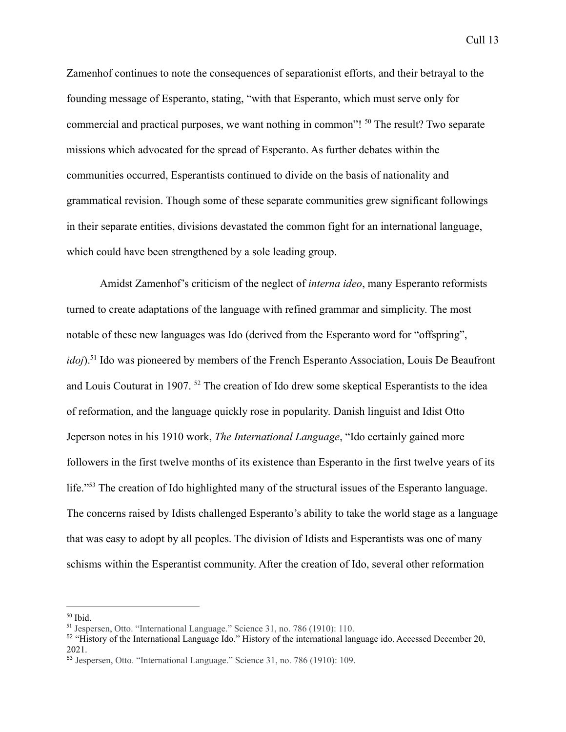Cull 13

Zamenhof continues to note the consequences of separationist efforts, and their betrayal to the founding message of Esperanto, stating, "with that Esperanto, which must serve only for commercial and practical purposes, we want nothing in common"! <sup>50</sup> The result? Two separate missions which advocated for the spread of Esperanto. As further debates within the communities occurred, Esperantists continued to divide on the basis of nationality and grammatical revision. Though some of these separate communities grew significant followings in their separate entities, divisions devastated the common fight for an international language, which could have been strengthened by a sole leading group.

Amidst Zamenhof's criticism of the neglect of *interna ideo*, many Esperanto reformists turned to create adaptations of the language with refined grammar and simplicity. The most notable of these new languages was Ido (derived from the Esperanto word for "offspring", *idoj*).<sup>51</sup> Ido was pioneered by members of the French Esperanto Association, Louis De Beaufront and Louis Couturat in 1907. <sup>52</sup> The creation of Ido drew some skeptical Esperantists to the idea of reformation, and the language quickly rose in popularity. Danish linguist and Idist Otto Jeperson notes in his 1910 work, *The International Language*, "Ido certainly gained more followers in the first twelve months of its existence than Esperanto in the first twelve years of its life."<sup>53</sup> The creation of Ido highlighted many of the structural issues of the Esperanto language. The concerns raised by Idists challenged Esperanto's ability to take the world stage as a language that was easy to adopt by all peoples. The division of Idists and Esperantists was one of many schisms within the Esperantist community. After the creation of Ido, several other reformation

<sup>50</sup> Ibid.

<sup>51</sup> Jespersen, Otto. "International Language." Science 31, no. 786 (1910): 110.

<sup>52</sup> "History of the International Language Ido." History of the international language ido. Accessed December 20, 2021.

<sup>53</sup> Jespersen, Otto. "International Language." Science 31, no. 786 (1910): 109.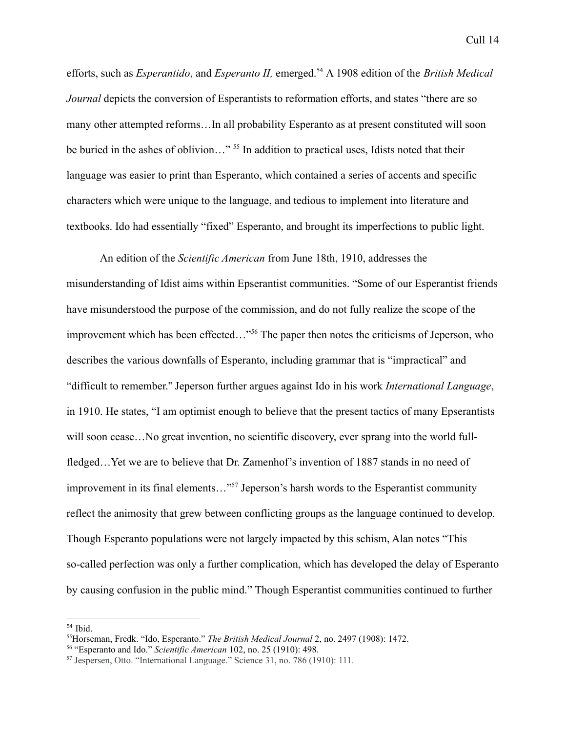efforts, such as *Esperantido*, and *Esperanto II,* emerged.<sup>54</sup> A 1908 edition of the *British Medical Journal* depicts the conversion of Esperantists to reformation efforts, and states "there are so many other attempted reforms…In all probability Esperanto as at present constituted will soon be buried in the ashes of oblivion..."<sup>55</sup> In addition to practical uses, Idists noted that their language was easier to print than Esperanto, which contained a series of accents and specific characters which were unique to the language, and tedious to implement into literature and textbooks. Ido had essentially "fixed" Esperanto, and brought its imperfections to public light.

An edition of the *Scientific American* from June 18th, 1910, addresses the misunderstanding of Idist aims within Epserantist communities. "Some of our Esperantist friends have misunderstood the purpose of the commission, and do not fully realize the scope of the improvement which has been effected…"<sup>56</sup> The paper then notes the criticisms of Jeperson, who describes the various downfalls of Esperanto, including grammar that is "impractical" and "difficult to remember.'' Jeperson further argues against Ido in his work *International Language*, in 1910. He states, "I am optimist enough to believe that the present tactics of many Epserantists will soon cease...No great invention, no scientific discovery, ever sprang into the world fullfledged... Yet we are to believe that Dr. Zamenhof's invention of 1887 stands in no need of improvement in its final elements…"<sup>57</sup> Jeperson's harsh words to the Esperantist community reflect the animosity that grew between conflicting groups as the language continued to develop. Though Esperanto populations were not largely impacted by this schism, Alan notes "This so-called perfection was only a further complication, which has developed the delay of Esperanto by causing confusion in the public mind." Though Esperantist communities continued to further

 $54$  Ibid.

<sup>55</sup>Horseman, Fredk. "Ido, Esperanto." *The British Medical Journal* 2, no. 2497 (1908): 1472.

<sup>56</sup> "Esperanto and Ido." *Scientific American* 102, no. 25 (1910): 498.

<sup>57</sup> Jespersen, Otto. "International Language." Science 31, no. 786 (1910): 111.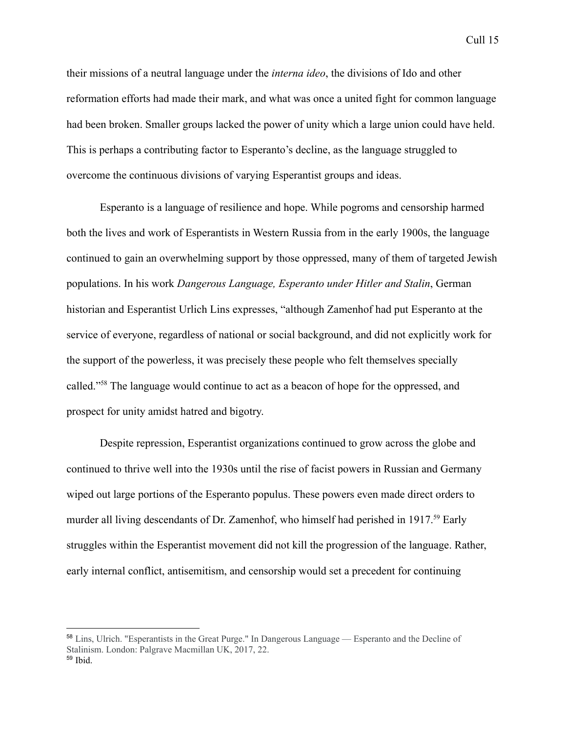Cull 15

their missions of a neutral language under the *interna ideo*, the divisions of Ido and other reformation efforts had made their mark, and what was once a united fight for common language had been broken. Smaller groups lacked the power of unity which a large union could have held. This is perhaps a contributing factor to Esperanto's decline, as the language struggled to overcome the continuous divisions of varying Esperantist groups and ideas.

Esperanto is a language of resilience and hope. While pogroms and censorship harmed both the lives and work of Esperantists in Western Russia from in the early 1900s, the language continued to gain an overwhelming support by those oppressed, many of them of targeted Jewish populations. In his work *Dangerous Language, Esperanto under Hitler and Stalin*, German historian and Esperantist Urlich Lins expresses, "although Zamenhof had put Esperanto at the service of everyone, regardless of national or social background, and did not explicitly work for the support of the powerless, it was precisely these people who felt themselves specially called."<sup>58</sup> The language would continue to act as a beacon of hope for the oppressed, and prospect for unity amidst hatred and bigotry.

Despite repression, Esperantist organizations continued to grow across the globe and continued to thrive well into the 1930s until the rise of facist powers in Russian and Germany wiped out large portions of the Esperanto populus. These powers even made direct orders to murder all living descendants of Dr. Zamenhof, who himself had perished in 1917.<sup>59</sup> Early struggles within the Esperantist movement did not kill the progression of the language. Rather, early internal conflict, antisemitism, and censorship would set a precedent for continuing

<sup>59</sup> Ibid. <sup>58</sup> Lins, Ulrich. "Esperantists in the Great Purge." In Dangerous Language — Esperanto and the Decline of Stalinism. London: Palgrave Macmillan UK, 2017, 22.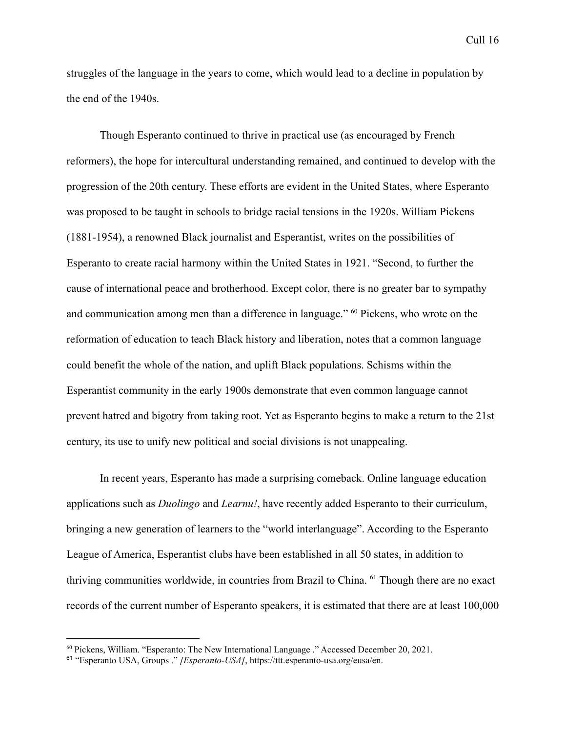struggles of the language in the years to come, which would lead to a decline in population by the end of the 1940s.

Though Esperanto continued to thrive in practical use (as encouraged by French reformers), the hope for intercultural understanding remained, and continued to develop with the progression of the 20th century. These efforts are evident in the United States, where Esperanto was proposed to be taught in schools to bridge racial tensions in the 1920s. William Pickens (1881-1954), a renowned Black journalist and Esperantist, writes on the possibilities of Esperanto to create racial harmony within the United States in 1921. "Second, to further the cause of international peace and brotherhood. Except color, there is no greater bar to sympathy and communication among men than a difference in language." <sup>60</sup> Pickens, who wrote on the reformation of education to teach Black history and liberation, notes that a common language could benefit the whole of the nation, and uplift Black populations. Schisms within the Esperantist community in the early 1900s demonstrate that even common language cannot prevent hatred and bigotry from taking root. Yet as Esperanto begins to make a return to the 21st century, its use to unify new political and social divisions is not unappealing.

In recent years, Esperanto has made a surprising comeback. Online language education applications such as *Duolingo* and *Learnu!*, have recently added Esperanto to their curriculum, bringing a new generation of learners to the "world interlanguage". According to the Esperanto League of America, Esperantist clubs have been established in all 50 states, in addition to thriving communities worldwide, in countries from Brazil to China. <sup>61</sup> Though there are no exact records of the current number of Esperanto speakers, it is estimated that there are at least 100,000

<sup>60</sup> Pickens, William. "Esperanto: The New International Language ." Accessed December 20, 2021.

<sup>&</sup>lt;sup>61</sup> "Esperanto USA, Groups ." *[Esperanto-USA]*, https://ttt.esperanto-usa.org/eusa/en.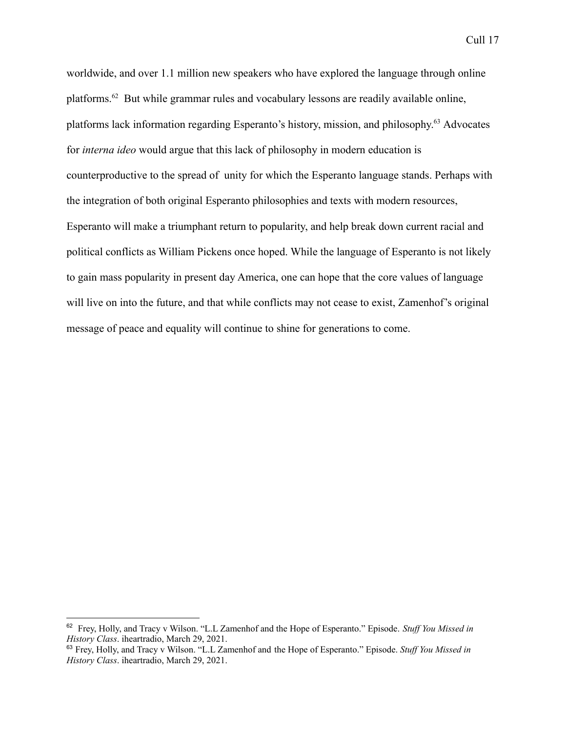worldwide, and over 1.1 million new speakers who have explored the language through online platforms.<sup>62</sup> But while grammar rules and vocabulary lessons are readily available online, platforms lack information regarding Esperanto's history, mission, and philosophy. <sup>63</sup> Advocates for *interna ideo* would argue that this lack of philosophy in modern education is counterproductive to the spread of unity for which the Esperanto language stands. Perhaps with the integration of both original Esperanto philosophies and texts with modern resources, Esperanto will make a triumphant return to popularity, and help break down current racial and political conflicts as William Pickens once hoped. While the language of Esperanto is not likely to gain mass popularity in present day America, one can hope that the core values of language will live on into the future, and that while conflicts may not cease to exist, Zamenhof's original message of peace and equality will continue to shine for generations to come.

<sup>62</sup> Frey, Holly, and Tracy v Wilson. "L.L Zamenhof and the Hope of Esperanto." Episode. *Stuf You Missed in History Class*. iheartradio, March 29, 2021.

<sup>63</sup> Frey, Holly, and Tracy v Wilson. "L.L Zamenhof and the Hope of Esperanto." Episode. *Stuf You Missed in History Class*. iheartradio, March 29, 2021.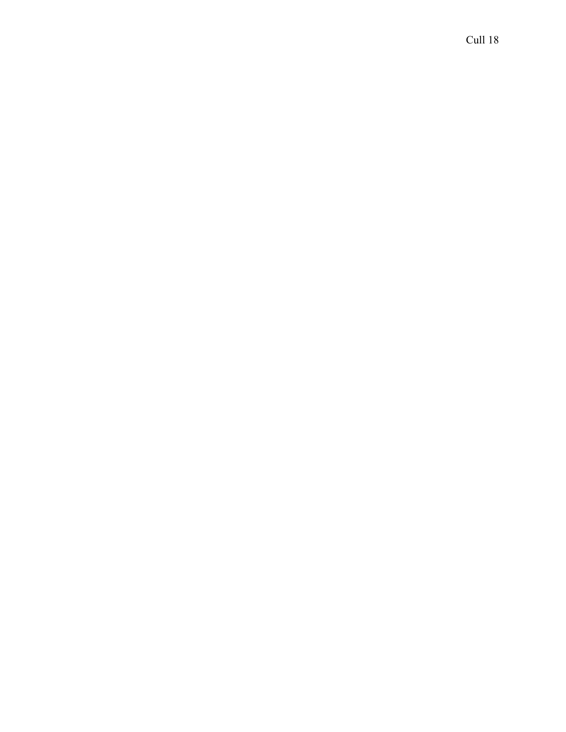## Cull 18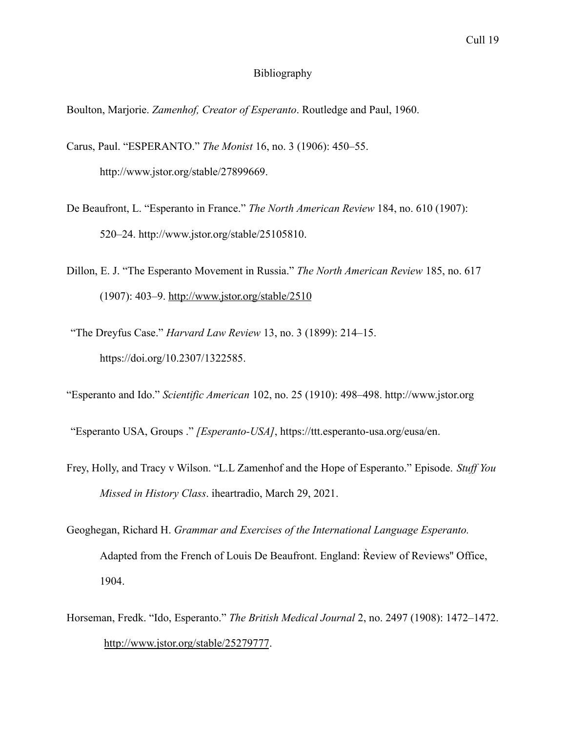## Bibliography

Boulton, Marjorie. *Zamenhof, Creator of Esperanto*. Routledge and Paul, 1960.

- Carus, Paul. "ESPERANTO." *The Monist* 16, no. 3 (1906): 450–55. http://www.jstor.org/stable/27899669.
- De Beaufront, L. "Esperanto in France." *The North American Review* 184, no. 610 (1907): 520–24. http://www.jstor.org/stable/25105810.
- Dillon, E. J. "The Esperanto Movement in Russia." *The North American Review* 185, no. 617 (1907): 403–9. [http://www.jstor.org/stable/2510](http://www.jstor.org/stable/25105910)
- "The Dreyfus Case." *Harvard Law Review* 13, no. 3 (1899): 214–15. https://doi.org/10.2307/1322585.

"Esperanto and Ido." *Scientific American* 102, no. 25 (1910): 498–498. [http://www.jstor.org](http://www.jstor.org/stable/26038617)

"Esperanto USA, Groups ." *[Esperanto-USA]*, https://ttt.esperanto-usa.org/eusa/en.

- Frey, Holly, and Tracy v Wilson. "L.L Zamenhof and the Hope of Esperanto." Episode. *Stuff You Missed in History Class*. iheartradio, March 29, 2021.
- Geoghegan, Richard H. *Grammar and Exercises of the International Language Esperanto.* Adapted from the French of Louis De Beaufront. England: R̀eview of Reviews'' Office, 1904.
- Horseman, Fredk. "Ido, Esperanto." *The British Medical Journal* 2, no. 2497 (1908): 1472–1472. <http://www.jstor.org/stable/25279777>.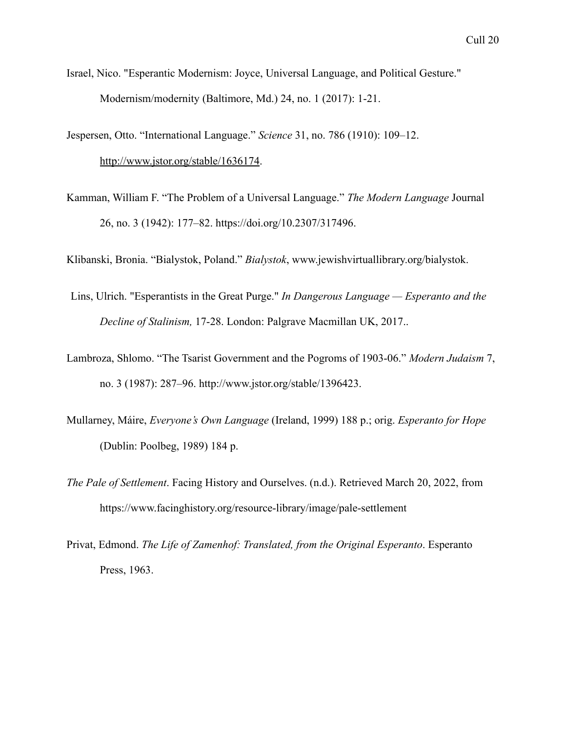- Israel, Nico. "Esperantic Modernism: Joyce, Universal Language, and Political Gesture." Modernism/modernity (Baltimore, Md.) 24, no. 1 (2017): 1-21.
- Jespersen, Otto. "International Language." *Science* 31, no. 786 (1910): 109–12. [http://www.jstor.org/stable/1636174.](http://www.jstor.org/stable/1636174)
- Kamman, William F. "The Problem of a Universal Language." *The Modern Language* Journal 26, no. 3 (1942): 177–82. <https://doi.org/10.2307/317496>.

Klibanski, Bronia. "Bialystok, Poland." *Bialystok*, www.jewishvirtuallibrary.org/bialystok.

- Lins, Ulrich. "Esperantists in the Great Purge." *In Dangerous Language Esperanto and the Decline of Stalinism,* 17-28. London: Palgrave Macmillan UK, 2017..
- Lambroza, Shlomo. "The Tsarist Government and the Pogroms of 1903-06." *Modern Judaism* 7, no. 3 (1987): 287–96. http://www.jstor.org/stable/1396423.
- Mullarney, Máire, *Everyone's Own Language* (Ireland, 1999) 188 p.; orig. *Esperanto for Hope* (Dublin: Poolbeg, 1989) 184 p.
- *The Pale of Settlement*. Facing History and Ourselves. (n.d.). Retrieved March 20, 2022, from https://www.facinghistory.org/resource-library/image/pale-settlement
- Privat, Edmond. *The Life of Zamenhof: Translated, from the Original Esperanto*. Esperanto Press, 1963.